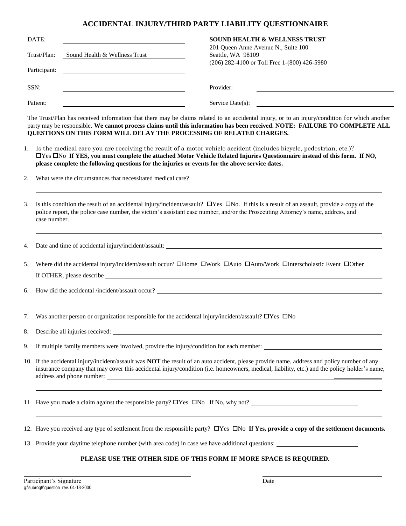## **ACCIDENTAL INJURY/THIRD PARTY LIABILITY QUESTIONNAIRE**

| DATE:                       |                               | <b>SOUND HEALTH &amp; WELLNESS TRUST</b>                                                                      |
|-----------------------------|-------------------------------|---------------------------------------------------------------------------------------------------------------|
| Trust/Plan:<br>Participant: | Sound Health & Wellness Trust | 201 Queen Anne Avenue N., Suite 100<br>Seattle, WA 98109<br>$(206)$ 282-4100 or Toll Free 1- $(800)$ 426-5980 |
| SSN:                        |                               | Provider:                                                                                                     |
| Patient:                    |                               | Service Date $(s)$ :                                                                                          |

The Trust/Plan has received information that there may be claims related to an accidental injury, or to an injury/condition for which another party may be responsible. **We cannot process claims until this information has been received. NOTE: FAILURE TO COMPLETE ALL QUESTIONS ON THIS FORM WILL DELAY THE PROCESSING OF RELATED CHARGES.**

- 1. Is the medical care you are receiving the result of a motor vehicle accident (includes bicycle, pedestrian, etc.)? Yes No **If YES, you must complete the attached Motor Vehicle Related Injuries Questionnaire instead of this form. If NO, please complete the following questions for the injuries or events for the above service dates.**
- 2. What were the circumstances that necessitated medical care?
- 3. Is this condition the result of an accidental injury/incident/assault?  $\Box$  Yes  $\Box$  No. If this is a result of an assault, provide a copy of the police report, the police case number, the victim's assistant case number, and/or the Prosecuting Attorney's name, address, and case number.

4. Date and time of accidental injury/incident/assault:

5. Where did the accidental injury/incident/assault occur?  $\Box$ Home  $\Box$ Work  $\Box$ Auto/Work  $\Box$ Interscholastic Event  $\Box$ Other If OTHER, please describe

6. How did the accidental /incident/assault occur?

7. Was another person or organization responsible for the accidental injury/incident/assault?  $\Box$  Yes  $\Box$  No

8. Describe all injuries received:

9. If multiple family members were involved, provide the injury/condition for each member:

10. If the accidental injury/incident/assault was **NOT** the result of an auto accident, please provide name, address and policy number of any insurance company that may cover this accidental injury/condition (i.e. homeowners, medical, liability, etc.) and the policy holder's name, address and phone number:

11. Have you made a claim against the responsible party?  $\Box$  Yes  $\Box$  No If No, why not?

12. Have you received any type of settlement from the responsible party?  $\Box$  Yes  $\Box$  No If Yes, provide a copy of the settlement documents.

13. Provide your daytime telephone number (with area code) in case we have additional questions:

## **PLEASE USE THE OTHER SIDE OF THIS FORM IF MORE SPACE IS REQUIRED.**